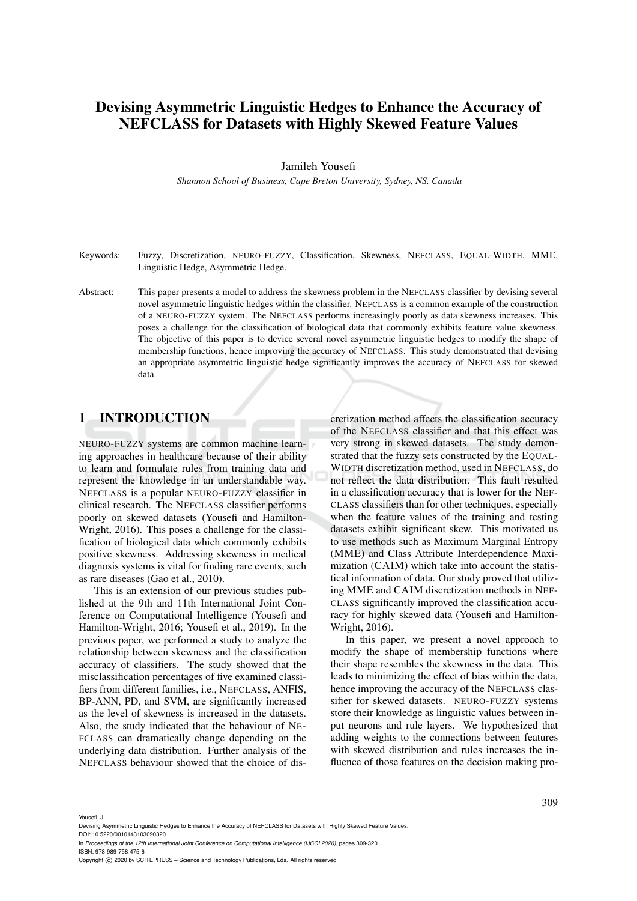# Devising Asymmetric Linguistic Hedges to Enhance the Accuracy of NEFCLASS for Datasets with Highly Skewed Feature Values

Jamileh Yousefi

*Shannon School of Business, Cape Breton University, Sydney, NS, Canada*

- Keywords: Fuzzy, Discretization, NEURO-FUZZY, Classification, Skewness, NEFCLASS, EQUAL-WIDTH, MME, Linguistic Hedge, Asymmetric Hedge.
- Abstract: This paper presents a model to address the skewness problem in the NEFCLASS classifier by devising several novel asymmetric linguistic hedges within the classifier. NEFCLASS is a common example of the construction of a NEURO-FUZZY system. The NEFCLASS performs increasingly poorly as data skewness increases. This poses a challenge for the classification of biological data that commonly exhibits feature value skewness. The objective of this paper is to device several novel asymmetric linguistic hedges to modify the shape of membership functions, hence improving the accuracy of NEFCLASS. This study demonstrated that devising an appropriate asymmetric linguistic hedge significantly improves the accuracy of NEFCLASS for skewed data.

## 1 INTRODUCTION

NEURO-FUZZY systems are common machine learning approaches in healthcare because of their ability to learn and formulate rules from training data and represent the knowledge in an understandable way. NEFCLASS is a popular NEURO-FUZZY classifier in clinical research. The NEFCLASS classifier performs poorly on skewed datasets (Yousefi and Hamilton-Wright, 2016). This poses a challenge for the classification of biological data which commonly exhibits positive skewness. Addressing skewness in medical diagnosis systems is vital for finding rare events, such as rare diseases (Gao et al., 2010).

This is an extension of our previous studies published at the 9th and 11th International Joint Conference on Computational Intelligence (Yousefi and Hamilton-Wright, 2016; Yousefi et al., 2019). In the previous paper, we performed a study to analyze the relationship between skewness and the classification accuracy of classifiers. The study showed that the misclassification percentages of five examined classifiers from different families, i.e., NEFCLASS, ANFIS, BP-ANN, PD, and SVM, are significantly increased as the level of skewness is increased in the datasets. Also, the study indicated that the behaviour of NE-FCLASS can dramatically change depending on the underlying data distribution. Further analysis of the NEFCLASS behaviour showed that the choice of discretization method affects the classification accuracy of the NEFCLASS classifier and that this effect was very strong in skewed datasets. The study demonstrated that the fuzzy sets constructed by the EQUAL-WIDTH discretization method, used in NEFCLASS, do not reflect the data distribution. This fault resulted in a classification accuracy that is lower for the NEF-CLASS classifiers than for other techniques, especially when the feature values of the training and testing datasets exhibit significant skew. This motivated us to use methods such as Maximum Marginal Entropy (MME) and Class Attribute Interdependence Maximization (CAIM) which take into account the statistical information of data. Our study proved that utilizing MME and CAIM discretization methods in NEF-CLASS significantly improved the classification accuracy for highly skewed data (Yousefi and Hamilton-Wright, 2016).

In this paper, we present a novel approach to modify the shape of membership functions where their shape resembles the skewness in the data. This leads to minimizing the effect of bias within the data, hence improving the accuracy of the NEFCLASS classifier for skewed datasets. NEURO-FUZZY systems store their knowledge as linguistic values between input neurons and rule layers. We hypothesized that adding weights to the connections between features with skewed distribution and rules increases the influence of those features on the decision making pro-

Yousefi, J.

Devising Asymmetric Linguistic Hedges to Enhance the Accuracy of NEFCLASS for Datasets with Highly Skewed Feature Values. DOI: 10.5220/0010143103090320

In *Proceedings of the 12th International Joint Conference on Computational Intelligence (IJCCI 2020)*, pages 309-320 ISBN: 978-989-758-475-6

Copyright © 2020 by SCITEPRESS - Science and Technology Publications, Lda. All rights reserved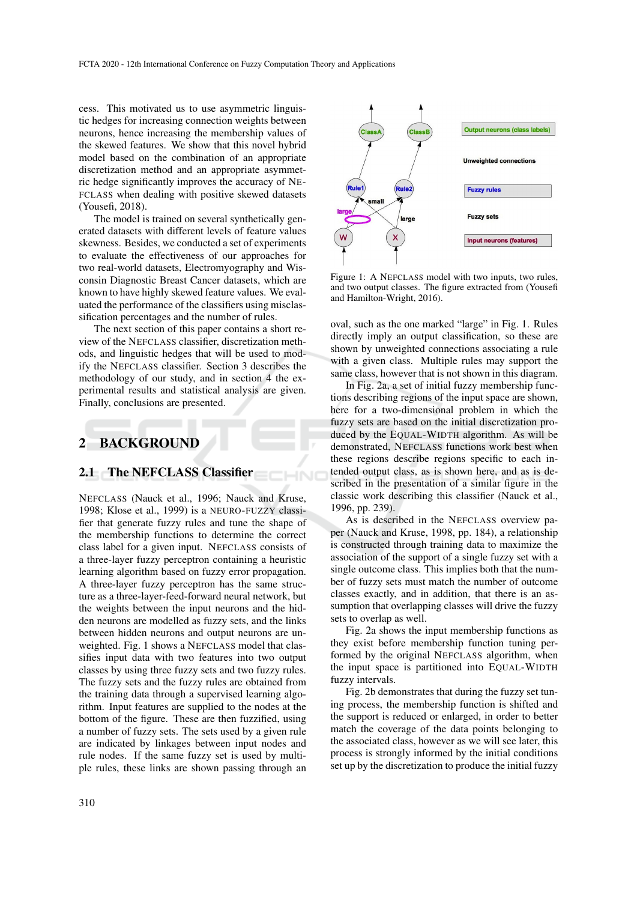cess. This motivated us to use asymmetric linguistic hedges for increasing connection weights between neurons, hence increasing the membership values of the skewed features. We show that this novel hybrid model based on the combination of an appropriate discretization method and an appropriate asymmetric hedge significantly improves the accuracy of NE-FCLASS when dealing with positive skewed datasets (Yousefi, 2018).

The model is trained on several synthetically generated datasets with different levels of feature values skewness. Besides, we conducted a set of experiments to evaluate the effectiveness of our approaches for two real-world datasets, Electromyography and Wisconsin Diagnostic Breast Cancer datasets, which are known to have highly skewed feature values. We evaluated the performance of the classifiers using misclassification percentages and the number of rules.

The next section of this paper contains a short review of the NEFCLASS classifier, discretization methods, and linguistic hedges that will be used to modify the NEFCLASS classifier. Section 3 describes the methodology of our study, and in section 4 the experimental results and statistical analysis are given. Finally, conclusions are presented.

## 2 BACKGROUND

### 2.1 The NEFCLASS Classifier

NEFCLASS (Nauck et al., 1996; Nauck and Kruse, 1998; Klose et al., 1999) is a NEURO-FUZZY classifier that generate fuzzy rules and tune the shape of the membership functions to determine the correct class label for a given input. NEFCLASS consists of a three-layer fuzzy perceptron containing a heuristic learning algorithm based on fuzzy error propagation. A three-layer fuzzy perceptron has the same structure as a three-layer-feed-forward neural network, but the weights between the input neurons and the hidden neurons are modelled as fuzzy sets, and the links between hidden neurons and output neurons are unweighted. Fig. 1 shows a NEFCLASS model that classifies input data with two features into two output classes by using three fuzzy sets and two fuzzy rules. The fuzzy sets and the fuzzy rules are obtained from the training data through a supervised learning algorithm. Input features are supplied to the nodes at the bottom of the figure. These are then fuzzified, using a number of fuzzy sets. The sets used by a given rule are indicated by linkages between input nodes and rule nodes. If the same fuzzy set is used by multiple rules, these links are shown passing through an



Figure 1: A NEFCLASS model with two inputs, two rules, and two output classes. The figure extracted from (Yousefi and Hamilton-Wright, 2016).

oval, such as the one marked "large" in Fig. 1. Rules directly imply an output classification, so these are shown by unweighted connections associating a rule with a given class. Multiple rules may support the same class, however that is not shown in this diagram.

In Fig. 2a, a set of initial fuzzy membership functions describing regions of the input space are shown, here for a two-dimensional problem in which the fuzzy sets are based on the initial discretization produced by the EQUAL-WIDTH algorithm. As will be demonstrated, NEFCLASS functions work best when these regions describe regions specific to each intended output class, as is shown here, and as is described in the presentation of a similar figure in the classic work describing this classifier (Nauck et al., 1996, pp. 239).

As is described in the NEFCLASS overview paper (Nauck and Kruse, 1998, pp. 184), a relationship is constructed through training data to maximize the association of the support of a single fuzzy set with a single outcome class. This implies both that the number of fuzzy sets must match the number of outcome classes exactly, and in addition, that there is an assumption that overlapping classes will drive the fuzzy sets to overlap as well.

Fig. 2a shows the input membership functions as they exist before membership function tuning performed by the original NEFCLASS algorithm, when the input space is partitioned into EQUAL-WIDTH fuzzy intervals.

Fig. 2b demonstrates that during the fuzzy set tuning process, the membership function is shifted and the support is reduced or enlarged, in order to better match the coverage of the data points belonging to the associated class, however as we will see later, this process is strongly informed by the initial conditions set up by the discretization to produce the initial fuzzy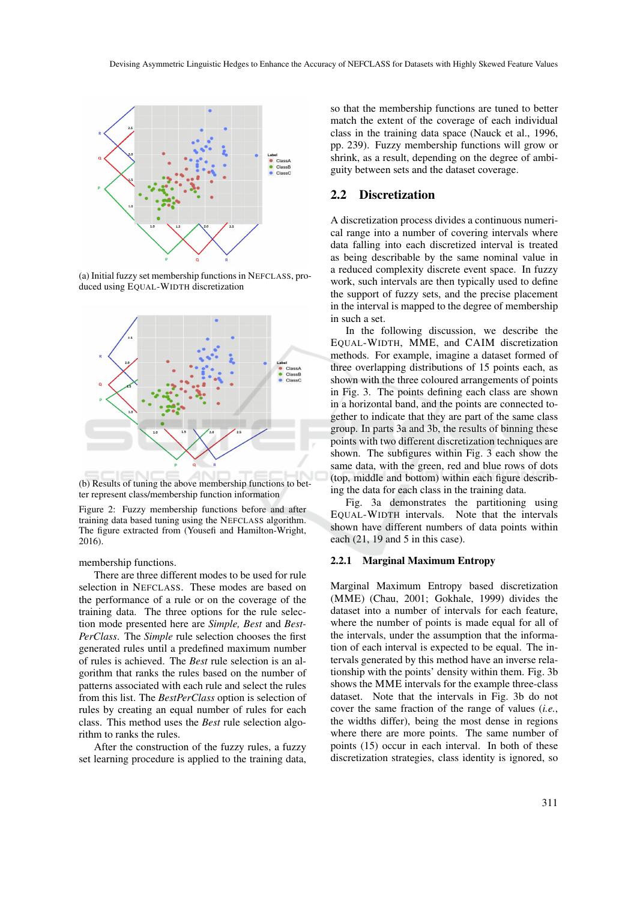

(a) Initial fuzzy set membership functions in NEFCLASS, produced using EQUAL-WIDTH discretization



(b) Results of tuning the above membership functions to better represent class/membership function information

Figure 2: Fuzzy membership functions before and after training data based tuning using the NEFCLASS algorithm. The figure extracted from (Yousefi and Hamilton-Wright, 2016).

membership functions.

There are three different modes to be used for rule selection in NEFCLASS. These modes are based on the performance of a rule or on the coverage of the training data. The three options for the rule selection mode presented here are *Simple, Best* and *Best-PerClass*. The *Simple* rule selection chooses the first generated rules until a predefined maximum number of rules is achieved. The *Best* rule selection is an algorithm that ranks the rules based on the number of patterns associated with each rule and select the rules from this list. The *BestPerClass* option is selection of rules by creating an equal number of rules for each class. This method uses the *Best* rule selection algorithm to ranks the rules.

After the construction of the fuzzy rules, a fuzzy set learning procedure is applied to the training data,

so that the membership functions are tuned to better match the extent of the coverage of each individual class in the training data space (Nauck et al., 1996, pp. 239). Fuzzy membership functions will grow or shrink, as a result, depending on the degree of ambiguity between sets and the dataset coverage.

### 2.2 Discretization

A discretization process divides a continuous numerical range into a number of covering intervals where data falling into each discretized interval is treated as being describable by the same nominal value in a reduced complexity discrete event space. In fuzzy work, such intervals are then typically used to define the support of fuzzy sets, and the precise placement in the interval is mapped to the degree of membership in such a set.

In the following discussion, we describe the EQUAL-WIDTH, MME, and CAIM discretization methods. For example, imagine a dataset formed of three overlapping distributions of 15 points each, as shown with the three coloured arrangements of points in Fig. 3. The points defining each class are shown in a horizontal band, and the points are connected together to indicate that they are part of the same class group. In parts 3a and 3b, the results of binning these points with two different discretization techniques are shown. The subfigures within Fig. 3 each show the same data, with the green, red and blue rows of dots (top, middle and bottom) within each figure describing the data for each class in the training data.

Fig. 3a demonstrates the partitioning using EQUAL-WIDTH intervals. Note that the intervals shown have different numbers of data points within each (21, 19 and 5 in this case).

#### 2.2.1 Marginal Maximum Entropy

Marginal Maximum Entropy based discretization (MME) (Chau, 2001; Gokhale, 1999) divides the dataset into a number of intervals for each feature, where the number of points is made equal for all of the intervals, under the assumption that the information of each interval is expected to be equal. The intervals generated by this method have an inverse relationship with the points' density within them. Fig. 3b shows the MME intervals for the example three-class dataset. Note that the intervals in Fig. 3b do not cover the same fraction of the range of values (*i.e.*, the widths differ), being the most dense in regions where there are more points. The same number of points (15) occur in each interval. In both of these discretization strategies, class identity is ignored, so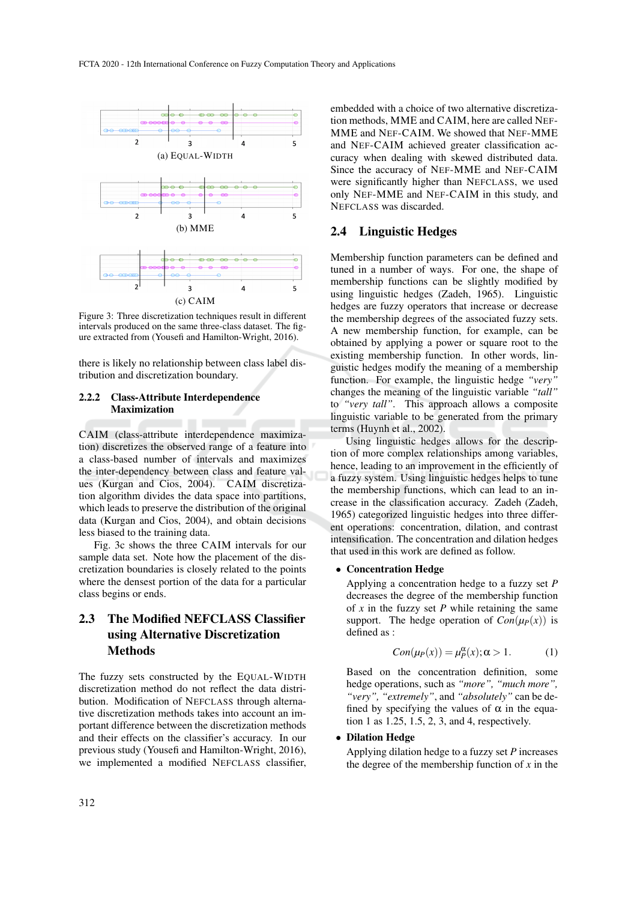

Figure 3: Three discretization techniques result in different intervals produced on the same three-class dataset. The figure extracted from (Yousefi and Hamilton-Wright, 2016).

there is likely no relationship between class label distribution and discretization boundary.

### 2.2.2 Class-Attribute Interdependence Maximization

CAIM (class-attribute interdependence maximization) discretizes the observed range of a feature into a class-based number of intervals and maximizes the inter-dependency between class and feature values (Kurgan and Cios, 2004). CAIM discretization algorithm divides the data space into partitions, which leads to preserve the distribution of the original data (Kurgan and Cios, 2004), and obtain decisions less biased to the training data.

Fig. 3c shows the three CAIM intervals for our sample data set. Note how the placement of the discretization boundaries is closely related to the points where the densest portion of the data for a particular class begins or ends.

## 2.3 The Modified NEFCLASS Classifier using Alternative Discretization Methods

The fuzzy sets constructed by the EQUAL-WIDTH discretization method do not reflect the data distribution. Modification of NEFCLASS through alternative discretization methods takes into account an important difference between the discretization methods and their effects on the classifier's accuracy. In our previous study (Yousefi and Hamilton-Wright, 2016), we implemented a modified NEFCLASS classifier,

embedded with a choice of two alternative discretization methods, MME and CAIM, here are called NEF-MME and NEF-CAIM. We showed that NEF-MME and NEF-CAIM achieved greater classification accuracy when dealing with skewed distributed data. Since the accuracy of NEF-MME and NEF-CAIM were significantly higher than NEFCLASS, we used only NEF-MME and NEF-CAIM in this study, and NEFCLASS was discarded.

### 2.4 Linguistic Hedges

Membership function parameters can be defined and tuned in a number of ways. For one, the shape of membership functions can be slightly modified by using linguistic hedges (Zadeh, 1965). Linguistic hedges are fuzzy operators that increase or decrease the membership degrees of the associated fuzzy sets. A new membership function, for example, can be obtained by applying a power or square root to the existing membership function. In other words, linguistic hedges modify the meaning of a membership function. For example, the linguistic hedge *"very"* changes the meaning of the linguistic variable *"tall"* to *"very tall"*. This approach allows a composite linguistic variable to be generated from the primary terms (Huynh et al., 2002).

Using linguistic hedges allows for the description of more complex relationships among variables, hence, leading to an improvement in the efficiently of a fuzzy system. Using linguistic hedges helps to tune the membership functions, which can lead to an increase in the classification accuracy. Zadeh (Zadeh, 1965) categorized linguistic hedges into three different operations: concentration, dilation, and contrast intensification. The concentration and dilation hedges that used in this work are defined as follow.

#### • Concentration Hedge

Applying a concentration hedge to a fuzzy set *P* decreases the degree of the membership function of  $x$  in the fuzzy set  $P$  while retaining the same support. The hedge operation of  $Con(\mu_P(x))$  is defined as :

$$
Con(\mu_P(x)) = \mu_P^{\alpha}(x); \alpha > 1.
$$
 (1)

Based on the concentration definition, some hedge operations, such as *"more", "much more", "very", "extremely"*, and *"absolutely"* can be defined by specifying the values of  $\alpha$  in the equation 1 as 1.25, 1.5, 2, 3, and 4, respectively.

#### • Dilation Hedge

Applying dilation hedge to a fuzzy set *P* increases the degree of the membership function of  $x$  in the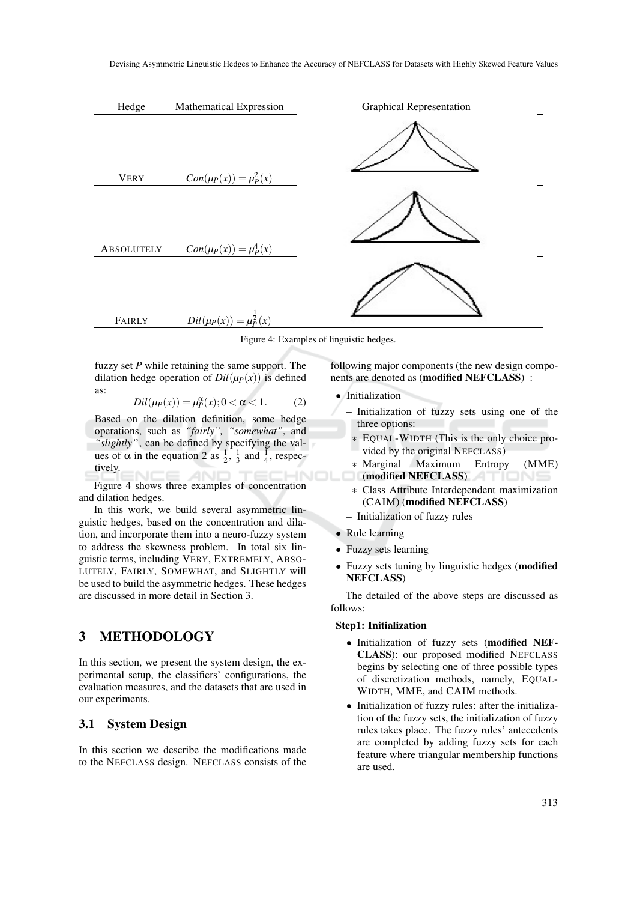

Figure 4: Examples of linguistic hedges.

fuzzy set *P* while retaining the same support. The dilation hedge operation of  $Dil(\mu_P(x))$  is defined as:

$$
Dil(\mu_P(x)) = \mu_P^{\alpha}(x); 0 < \alpha < 1. \tag{2}
$$

Based on the dilation definition, some hedge operations, such as *"fairly", "somewhat"*, and *"slightly'*', can be defined by specifying the values of  $\alpha$  in the equation 2 as  $\frac{1}{2}$ ,  $\frac{1}{3}$  and  $\frac{1}{4}$ , respectively.

Figure 4 shows three examples of concentration and dilation hedges.

In this work, we build several asymmetric linguistic hedges, based on the concentration and dilation, and incorporate them into a neuro-fuzzy system to address the skewness problem. In total six linguistic terms, including VERY, EXTREMELY, ABSO-LUTELY, FAIRLY, SOMEWHAT, and SLIGHTLY will be used to build the asymmetric hedges. These hedges are discussed in more detail in Section 3.

## 3 METHODOLOGY

In this section, we present the system design, the experimental setup, the classifiers' configurations, the evaluation measures, and the datasets that are used in our experiments.

## 3.1 System Design

In this section we describe the modifications made to the NEFCLASS design. NEFCLASS consists of the

following major components (the new design components are denoted as (modified NEFCLASS) :

### • Initialization

- Initialization of fuzzy sets using one of the three options:
	- ∗ EQUAL-WIDTH (This is the only choice provided by the original NEFCLASS)
- ∗ Marginal Maximum Entropy (MME) (modified NEFCLASS)
- ∗ Class Attribute Interdependent maximization (CAIM) (modified NEFCLASS)
- Initialization of fuzzy rules
- Rule learning
- Fuzzy sets learning
- Fuzzy sets tuning by linguistic hedges (modified NEFCLASS)

The detailed of the above steps are discussed as follows:

#### Step1: Initialization

- Initialization of fuzzy sets (modified NEF-CLASS): our proposed modified NEFCLASS begins by selecting one of three possible types of discretization methods, namely, EQUAL-WIDTH, MME, and CAIM methods.
- Initialization of fuzzy rules: after the initialization of the fuzzy sets, the initialization of fuzzy rules takes place. The fuzzy rules' antecedents are completed by adding fuzzy sets for each feature where triangular membership functions are used.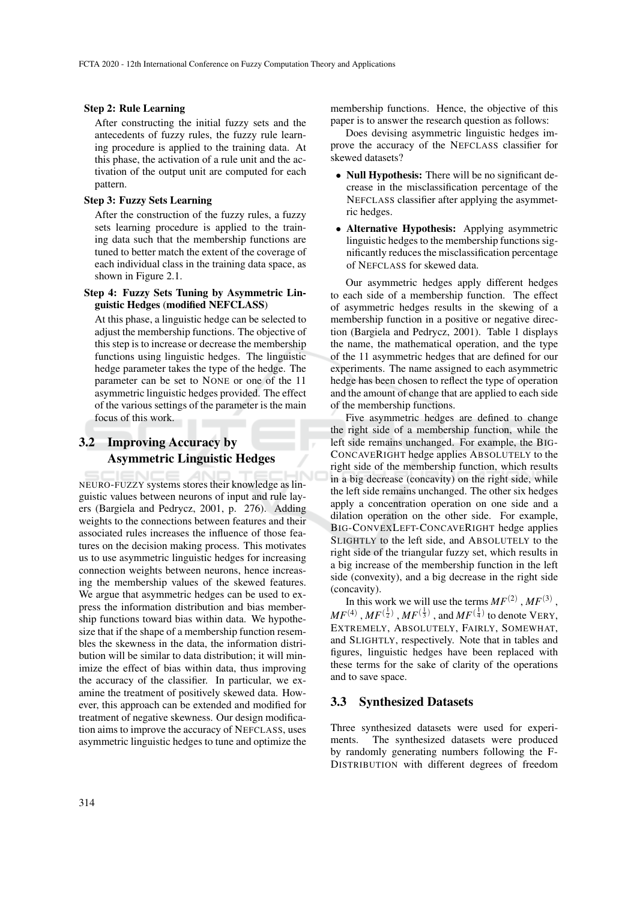#### Step 2: Rule Learning

After constructing the initial fuzzy sets and the antecedents of fuzzy rules, the fuzzy rule learning procedure is applied to the training data. At this phase, the activation of a rule unit and the activation of the output unit are computed for each pattern.

#### Step 3: Fuzzy Sets Learning

After the construction of the fuzzy rules, a fuzzy sets learning procedure is applied to the training data such that the membership functions are tuned to better match the extent of the coverage of each individual class in the training data space, as shown in Figure 2.1.

### Step 4: Fuzzy Sets Tuning by Asymmetric Linguistic Hedges (modified NEFCLASS)

At this phase, a linguistic hedge can be selected to adjust the membership functions. The objective of this step is to increase or decrease the membership functions using linguistic hedges. The linguistic hedge parameter takes the type of the hedge. The parameter can be set to NONE or one of the 11 asymmetric linguistic hedges provided. The effect of the various settings of the parameter is the main focus of this work.

## 3.2 Improving Accuracy by Asymmetric Linguistic Hedges

NEURO-FUZZY systems stores their knowledge as linguistic values between neurons of input and rule layers (Bargiela and Pedrycz, 2001, p. 276). Adding weights to the connections between features and their associated rules increases the influence of those features on the decision making process. This motivates us to use asymmetric linguistic hedges for increasing connection weights between neurons, hence increasing the membership values of the skewed features. We argue that asymmetric hedges can be used to express the information distribution and bias membership functions toward bias within data. We hypothesize that if the shape of a membership function resembles the skewness in the data, the information distribution will be similar to data distribution; it will minimize the effect of bias within data, thus improving the accuracy of the classifier. In particular, we examine the treatment of positively skewed data. However, this approach can be extended and modified for treatment of negative skewness. Our design modification aims to improve the accuracy of NEFCLASS, uses asymmetric linguistic hedges to tune and optimize the

membership functions. Hence, the objective of this paper is to answer the research question as follows:

Does devising asymmetric linguistic hedges improve the accuracy of the NEFCLASS classifier for skewed datasets?

- Null Hypothesis: There will be no significant decrease in the misclassification percentage of the NEFCLASS classifier after applying the asymmetric hedges.
- Alternative Hypothesis: Applying asymmetric linguistic hedges to the membership functions significantly reduces the misclassification percentage of NEFCLASS for skewed data.

Our asymmetric hedges apply different hedges to each side of a membership function. The effect of asymmetric hedges results in the skewing of a membership function in a positive or negative direction (Bargiela and Pedrycz, 2001). Table 1 displays the name, the mathematical operation, and the type of the 11 asymmetric hedges that are defined for our experiments. The name assigned to each asymmetric hedge has been chosen to reflect the type of operation and the amount of change that are applied to each side of the membership functions.

Five asymmetric hedges are defined to change the right side of a membership function, while the left side remains unchanged. For example, the BIG-CONCAVERIGHT hedge applies ABSOLUTELY to the right side of the membership function, which results in a big decrease (concavity) on the right side, while the left side remains unchanged. The other six hedges apply a concentration operation on one side and a dilation operation on the other side. For example, BIG-CONVEXLEFT-CONCAVERIGHT hedge applies SLIGHTLY to the left side, and ABSOLUTELY to the right side of the triangular fuzzy set, which results in a big increase of the membership function in the left side (convexity), and a big decrease in the right side (concavity).

In this work we will use the terms  $MF<sup>(2)</sup>$ ,  $MF<sup>(3)</sup>$ ,  $MF^{(4)}$  ,  $MF^{(\frac{1}{2})}$  ,  $MF^{(\frac{1}{3})}$  , and  $MF^{(\frac{1}{4})}$  to denote VERY, EXTREMELY, ABSOLUTELY, FAIRLY, SOMEWHAT, and SLIGHTLY, respectively. Note that in tables and figures, linguistic hedges have been replaced with these terms for the sake of clarity of the operations and to save space.

## 3.3 Synthesized Datasets

Three synthesized datasets were used for experiments. The synthesized datasets were produced by randomly generating numbers following the F-DISTRIBUTION with different degrees of freedom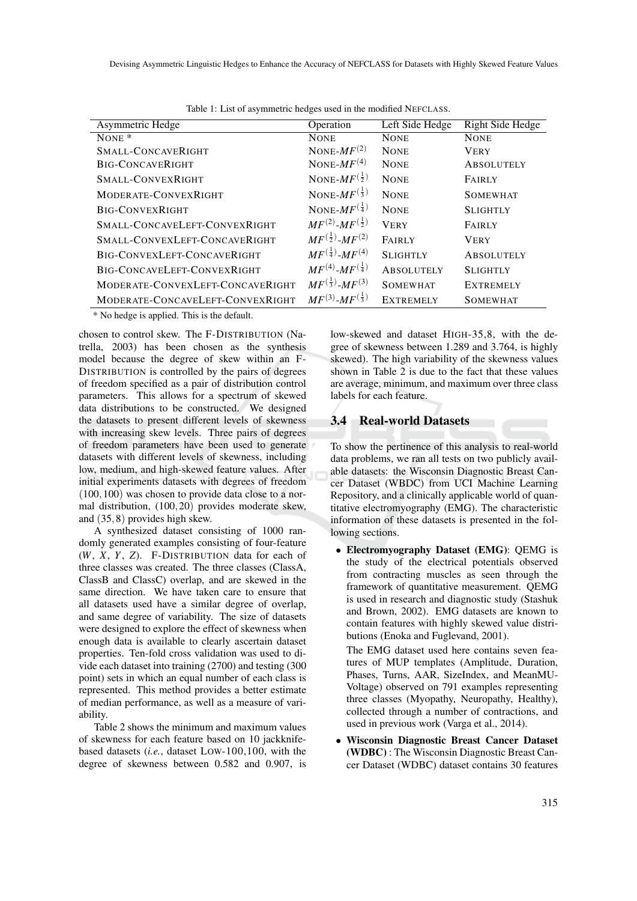| Asymmetric Hedge                 | Operation                         | Left Side Hedge   | Right Side Hedge  |
|----------------------------------|-----------------------------------|-------------------|-------------------|
| NONE $*$                         | <b>NONE</b>                       | <b>NONE</b>       | <b>NONE</b>       |
| SMALL-CONCAVERIGHT               | NONE- $MF(2)$                     | <b>NONE</b>       | <b>VERY</b>       |
| BIG-CONCAVERIGHT                 | NONE- $MF(4)$                     | <b>NONE</b>       | <b>ABSOLUTELY</b> |
| SMALL-CONVEXRIGHT                | NONE- $MF^{(\frac{1}{2})}$        | <b>NONE</b>       | <b>FAIRLY</b>     |
| MODERATE-CONVEXRIGHT             | NONE- $MF^{(\frac{1}{3})}$        | <b>NONE</b>       | <b>SOMEWHAT</b>   |
| <b>BIG-CONVEXRIGHT</b>           | NONE- $MF^{(\frac{1}{4})}$        | <b>NONE</b>       | <b>SLIGHTLY</b>   |
| SMALL-CONCAVELEFT-CONVEXRIGHT    | $MF^{(2)}$ - $MF^{(\frac{1}{2})}$ | <b>VERY</b>       | <b>FAIRLY</b>     |
| SMALL-CONVEXLEFT-CONCAVERIGHT    | $MF^{(\frac{1}{2})}$ - $MF^{(2)}$ | <b>FAIRLY</b>     | <b>VERY</b>       |
| BIG-CONVEXLEFT-CONCAVERIGHT      | $MF^{(\frac{1}{4})}$ - $MF^{(4)}$ | <b>SLIGHTLY</b>   | <b>ABSOLUTELY</b> |
| BIG-CONCAVELEFT-CONVEXRIGHT      | $MF^{(4)}$ - $MF^{(\frac{1}{4})}$ | <b>ABSOLUTELY</b> | <b>SLIGHTLY</b>   |
| MODERATE-CONVEXLEFT-CONCAVERIGHT | $MF^{(\frac{1}{3})}$ - $MF^{(3)}$ | <b>SOMEWHAT</b>   | <b>EXTREMELY</b>  |
| MODERATE-CONCAVELEFT-CONVEXRIGHT | $MF^{(3)}$ - $MF^{(\frac{1}{3})}$ | <b>EXTREMELY</b>  | <b>SOMEWHAT</b>   |

Table 1: List of asymmetric hedges used in the modified NEFCLASS.

\* No hedge is applied. This is the default.

chosen to control skew. The F-DISTRIBUTION (Natrella, 2003) has been chosen as the synthesis model because the degree of skew within an F-DISTRIBUTION is controlled by the pairs of degrees of freedom specified as a pair of distribution control parameters. This allows for a spectrum of skewed data distributions to be constructed. We designed the datasets to present different levels of skewness with increasing skew levels. Three pairs of degrees of freedom parameters have been used to generate datasets with different levels of skewness, including low, medium, and high-skewed feature values. After initial experiments datasets with degrees of freedom (100,100) was chosen to provide data close to a normal distribution, (100,20) provides moderate skew, and (35,8) provides high skew.

A synthesized dataset consisting of 1000 randomly generated examples consisting of four-feature (*W*, *X*, *Y*, *Z*). F-DISTRIBUTION data for each of three classes was created. The three classes (ClassA, ClassB and ClassC) overlap, and are skewed in the same direction. We have taken care to ensure that all datasets used have a similar degree of overlap, and same degree of variability. The size of datasets were designed to explore the effect of skewness when enough data is available to clearly ascertain dataset properties. Ten-fold cross validation was used to divide each dataset into training (2700) and testing (300 point) sets in which an equal number of each class is represented. This method provides a better estimate of median performance, as well as a measure of variability.

Table 2 shows the minimum and maximum values of skewness for each feature based on 10 jackknifebased datasets (*i.e.*, dataset LOW-100,100, with the degree of skewness between 0.582 and 0.907, is low-skewed and dataset HIGH-35,8, with the degree of skewness between 1.289 and 3.764, is highly skewed). The high variability of the skewness values shown in Table 2 is due to the fact that these values are average, minimum, and maximum over three class labels for each feature.

## 3.4 Real-world Datasets

To show the pertinence of this analysis to real-world data problems, we ran all tests on two publicly available datasets: the Wisconsin Diagnostic Breast Cancer Dataset (WBDC) from UCI Machine Learning Repository, and a clinically applicable world of quantitative electromyography (EMG). The characteristic information of these datasets is presented in the following sections.

• Electromyography Dataset (EMG): QEMG is the study of the electrical potentials observed from contracting muscles as seen through the framework of quantitative measurement. QEMG is used in research and diagnostic study (Stashuk and Brown, 2002). EMG datasets are known to contain features with highly skewed value distributions (Enoka and Fuglevand, 2001).

The EMG dataset used here contains seven features of MUP templates (Amplitude, Duration, Phases, Turns, AAR, SizeIndex, and MeanMU-Voltage) observed on 791 examples representing three classes (Myopathy, Neuropathy, Healthy), collected through a number of contractions, and used in previous work (Varga et al., 2014).

• Wisconsin Diagnostic Breast Cancer Dataset (WDBC) : The Wisconsin Diagnostic Breast Cancer Dataset (WDBC) dataset contains 30 features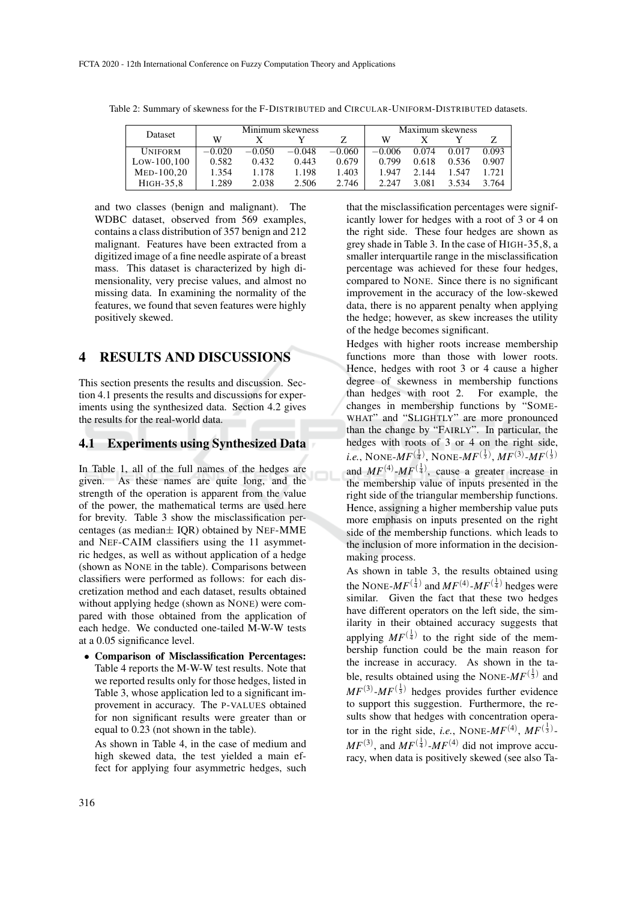| Dataset        |          |          | Minimum skewness |          |          |       | Maximum skewness |       |
|----------------|----------|----------|------------------|----------|----------|-------|------------------|-------|
|                | W        |          |                  |          | w        |       |                  |       |
| <b>UNIFORM</b> | $-0.020$ | $-0.050$ | $-0.048$         | $-0.060$ | $-0.006$ | 0.074 | 0.017            | 0.093 |
| $Low-100.100$  | 0.582    | 0.432    | 0.443            | 0.679    | 0.799    | 0.618 | 0.536            | 0.907 |
| $MED-100.20$   | 1.354    | 1.178    | 1.198            | 1.403    | 1.947    | 2.144 | 1.547            | 1.721 |
| HIGH-35.8      | 1.289    | 2.038    | 2.506            | 2.746    | 2.247    | 3.081 | 3.534            | 3.764 |

Table 2: Summary of skewness for the F-DISTRIBUTED and CIRCULAR-UNIFORM-DISTRIBUTED datasets.

and two classes (benign and malignant). The WDBC dataset, observed from 569 examples, contains a class distribution of 357 benign and 212 malignant. Features have been extracted from a digitized image of a fine needle aspirate of a breast mass. This dataset is characterized by high dimensionality, very precise values, and almost no missing data. In examining the normality of the features, we found that seven features were highly positively skewed.

## 4 RESULTS AND DISCUSSIONS

This section presents the results and discussion. Section 4.1 presents the results and discussions for experiments using the synthesized data. Section 4.2 gives the results for the real-world data.

## 4.1 Experiments using Synthesized Data

In Table 1, all of the full names of the hedges are given. As these names are quite long, and the strength of the operation is apparent from the value of the power, the mathematical terms are used here for brevity. Table 3 show the misclassification percentages (as median $\pm$  IQR) obtained by NEF-MME and NEF-CAIM classifiers using the 11 asymmetric hedges, as well as without application of a hedge (shown as NONE in the table). Comparisons between classifiers were performed as follows: for each discretization method and each dataset, results obtained without applying hedge (shown as NONE) were compared with those obtained from the application of each hedge. We conducted one-tailed M-W-W tests at a 0.05 significance level.

• Comparison of Misclassification Percentages: Table 4 reports the M-W-W test results. Note that we reported results only for those hedges, listed in Table 3, whose application led to a significant improvement in accuracy. The P-VALUES obtained for non significant results were greater than or equal to 0.23 (not shown in the table).

As shown in Table 4, in the case of medium and high skewed data, the test yielded a main effect for applying four asymmetric hedges, such

that the misclassification percentages were significantly lower for hedges with a root of 3 or 4 on the right side. These four hedges are shown as grey shade in Table 3. In the case of HIGH-35,8, a smaller interquartile range in the misclassification percentage was achieved for these four hedges, compared to NONE. Since there is no significant improvement in the accuracy of the low-skewed data, there is no apparent penalty when applying the hedge; however, as skew increases the utility of the hedge becomes significant.

Hedges with higher roots increase membership functions more than those with lower roots. Hence, hedges with root 3 or 4 cause a higher degree of skewness in membership functions than hedges with root 2. For example, the changes in membership functions by "SOME-WHAT" and "SLIGHTLY" are more pronounced than the change by "FAIRLY". In particular, the hedges with roots of 3 or 4 on the right side, *i.e.*, NONE- $MF^{(\frac{1}{4})}$ , NONE- $MF^{(\frac{1}{3})}$ ,  $MF^{(3)}$ - $MF^{(\frac{1}{3})}$ and  $MF^{(4)}$ - $MF^{(\frac{1}{4})}$ , cause a greater increase in the membership value of inputs presented in the right side of the triangular membership functions. Hence, assigning a higher membership value puts more emphasis on inputs presented on the right side of the membership functions. which leads to the inclusion of more information in the decisionmaking process.

As shown in table 3, the results obtained using the NONE- $MF^{(\frac{1}{4})}$  and  $MF^{(4)}$ - $MF^{(\frac{1}{4})}$  hedges were similar. Given the fact that these two hedges have different operators on the left side, the similarity in their obtained accuracy suggests that applying  $MF^{(\frac{1}{4})}$  to the right side of the membership function could be the main reason for the increase in accuracy. As shown in the table, results obtained using the NONE- $MF^{(\frac{1}{3})}$  and  $MF^{(3)}$ - $MF^{(\frac{1}{3})}$  hedges provides further evidence to support this suggestion. Furthermore, the results show that hedges with concentration operator in the right side, *i.e.*, NONE- $MF^{(4)}$ ,  $MF^{(\frac{1}{3})}$ - $MF^{(3)}$ , and  $MF^{(\frac{1}{4})}$ - $MF^{(4)}$  did not improve accuracy, when data is positively skewed (see also Ta-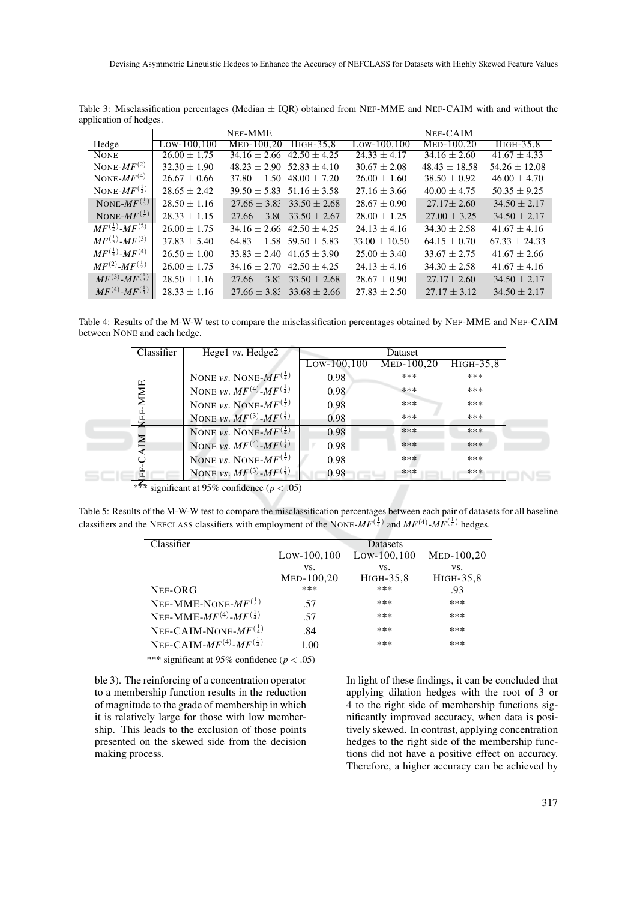|                                   |                  | NEF-MME                     |                                   |                  | NEF-CAIM          |                   |
|-----------------------------------|------------------|-----------------------------|-----------------------------------|------------------|-------------------|-------------------|
| Hedge                             | $Low-100,100$    | $MED-100.20$                | $HIGH-35.8$                       | $Low-100, 100$   | MED-100,20        | HIGH-35,8         |
| <b>NONE</b>                       | $26.00 \pm 1.75$ | $34.16 + 2.66$              | $42.50 + 4.25$                    | $24.33 \pm 4.17$ | $34.16 + 2.60$    | $41.67 + 4.33$    |
| NONE- $MF^{(2)}$                  | $32.30 \pm 1.90$ | $48.23 + 2.90$              | $52.83 + 4.10$                    | $30.67 \pm 2.08$ | $48.43 \pm 18.58$ | $54.26 \pm 12.08$ |
| NONE- $MF(4)$                     | $26.67 \pm 0.66$ |                             | $37.80 \pm 1.50$ 48.00 $\pm 7.20$ | $26.00 \pm 1.60$ | $38.50 \pm 0.92$  | $46.00 \pm 4.70$  |
| NONE- $MF^{(\frac{1}{2})}$        | $28.65 + 2.42$   |                             | $39.50 + 5.83$ 51.16 + 3.58       | $27.16 + 3.66$   | $40.00 + 4.75$    | $50.35 + 9.25$    |
| NONE- $MF^{(\frac{1}{3})}$        | $28.50 \pm 1.16$ |                             | $27.66 \pm 3.83$ $33.50 \pm 2.68$ | $28.67 + 0.90$   | $27.17 + 2.60$    | $34.50 + 2.17$    |
| NONE- $MF^{(\frac{1}{4})}$        | $28.33 + 1.15$   |                             | $27.66 + 3.80$ $33.50 + 2.67$     | $28.00 + 1.25$   | $27.00 + 3.25$    | $34.50 \pm 2.17$  |
| $MF^{(\frac{1}{2})}$ -MF(2)       | $26.00 + 1.75$   |                             | $34.16 + 2.66$ $42.50 + 4.25$     | $24.13 \pm 4.16$ | $34.30 + 2.58$    | $41.67 + 4.16$    |
| $MF^{(\frac{1}{3})}$ - $MF^{(3)}$ | $37.83 + 5.40$   | $64.83 + 1.58$ 59.50 + 5.83 |                                   | $33.00 + 10.50$  | $64.15 \pm 0.70$  | $67.33 + 24.33$   |
| $MF^{(\frac{1}{4})}$ - $MF^{(4)}$ | $26.50 + 1.00$   |                             | $33.83 \pm 2.40$ 41.65 $\pm$ 3.90 | $25.00 + 3.40$   | $33.67 \pm 2.75$  | $41.67 + 2.66$    |
| $MF^{(2)}$ - $MF^{(\frac{1}{2})}$ | $26.00 + 1.75$   |                             | $34.16 + 2.70$ $42.50 + 4.25$     | $24.13 + 4.16$   | $34.30 \pm 2.58$  | $41.67 + 4.16$    |
| $MF^{(3)}$ - $MF^{(\frac{1}{3})}$ | $28.50 + 1.16$   |                             | $27.66 + 3.83$ $33.50 + 2.68$     | $28.67 + 0.90$   | $27.17 + 2.60$    | $34.50 + 2.17$    |
| $MF(4) - MF(1)$                   | $28.33 + 1.16$   |                             | $27.66 + 3.83$ $33.68 + 2.66$     | $27.83 + 2.50$   | $27.17 + 3.12$    | $34.50 \pm 2.17$  |

Table 3: Misclassification percentages (Median  $\pm$  IQR) obtained from NEF-MME and NEF-CAIM with and without the application of hedges.

Table 4: Results of the M-W-W test to compare the misclassification percentages obtained by NEF-MME and NEF-CAIM between NONE and each hedge.

| Classifier | Hege1 vs. Hedge2                                      |               | Dataset      |           |
|------------|-------------------------------------------------------|---------------|--------------|-----------|
|            |                                                       | $Low-100,100$ | $MED-100,20$ | HIGH-35,8 |
|            | NONE <i>vs.</i> NONE- $\overline{MF}^{(\frac{1}{4})}$ | 0.98          | ***          | ***       |
| <b>MME</b> | NONE vs. $MF^{(4)}$ - $MF^{(\frac{1}{4})}$            | 0.98          | ***          | ***       |
|            | NONE <i>vs.</i> NONE- $MF^{(\frac{1}{3})}$            | 0.98          | ***          | ***       |
| VEF-       | NONE vs. $MF^{(3)}$ - $MF^{(\frac{1}{3})}$            | 0.98          | ***          | ***       |
|            | NONE vs. NONE- $MF^{(\frac{1}{4})}$                   | 0.98          | ***          | ***       |
| ZЕ         | NONE <i>vs.</i> $MF^{(4)}$ - $MF^{(\frac{1}{4})}$     | 0.98          | $***$        | $***$     |
|            | NONE <i>vs.</i> NONE- $MF^{(\frac{1}{3})}$            | 0.98          | ***          | ***       |
| 崮          | NONE vs. $MF^{(3)}$ - $MF^{(\frac{1}{3})}$            | 0.98          | ***          | ***       |

\*\*\* significant at 95% confidence ( $p < .05$ )

Table 5: Results of the M-W-W test to compare the misclassification percentages between each pair of datasets for all baseline classifiers and the NEFCLASS classifiers with employment of the NONE- $MF^{(\frac{1}{4})}$  and  $MF^{(4)}$ - $MF^{(\frac{1}{4})}$  hedges.

| Classifier                                 |              | <b>Datasets</b> |              |
|--------------------------------------------|--------------|-----------------|--------------|
|                                            | Low-100,100  | Low-100,100     | $MED-100,20$ |
|                                            | VS.          | VS.             | VS.          |
|                                            | $MED-100,20$ | HIGH-35,8       | HIGH-35,8    |
| NEF-ORG                                    | ***          | ***             | .93          |
| NEF-MME-NONE- $MF^{(\frac{1}{4})}$         | .57          | ***             | ***          |
| NEF-MME- $MF^{(4)}$ - $MF^{(\frac{1}{4})}$ | .57          | ***             | ***          |
| NEF-CAIM-NONE- $MF^{(\frac{1}{4})}$        | .84          | ***             | ***          |
| NEF-CAIM- $MF(4)$ - $MF(\frac{1}{4})$      | 1.00         | ***             | ***          |

\*\*\* significant at 95% confidence (*p* < .05)

ble 3). The reinforcing of a concentration operator to a membership function results in the reduction of magnitude to the grade of membership in which it is relatively large for those with low membership. This leads to the exclusion of those points presented on the skewed side from the decision making process.

In light of these findings, it can be concluded that applying dilation hedges with the root of 3 or 4 to the right side of membership functions significantly improved accuracy, when data is positively skewed. In contrast, applying concentration hedges to the right side of the membership functions did not have a positive effect on accuracy. Therefore, a higher accuracy can be achieved by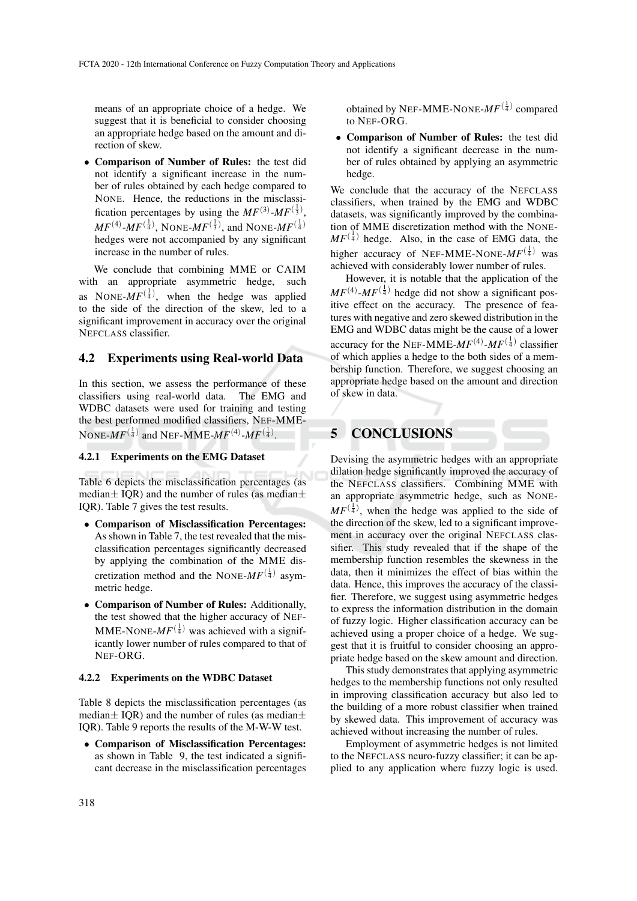means of an appropriate choice of a hedge. We suggest that it is beneficial to consider choosing an appropriate hedge based on the amount and direction of skew.

• Comparison of Number of Rules: the test did not identify a significant increase in the number of rules obtained by each hedge compared to NONE. Hence, the reductions in the misclassification percentages by using the  $MF^{(3)}$ - $MF^{(\frac{1}{3})}$ ,  $MF^{(4)} \text{-} MF^{(\frac{1}{4})}$ , NONE- $MF^{(\frac{1}{3})}$ , and NONE- $MF^{(\frac{1}{4})}$ hedges were not accompanied by any significant increase in the number of rules.

We conclude that combining MME or CAIM with an appropriate asymmetric hedge, such as NONE- $MF^{(\frac{1}{4})}$ , when the hedge was applied to the side of the direction of the skew, led to a significant improvement in accuracy over the original NEFCLASS classifier.

## 4.2 Experiments using Real-world Data

In this section, we assess the performance of these classifiers using real-world data. The EMG and WDBC datasets were used for training and testing the best performed modified classifiers, NEF-MME-NONE- $MF^{(\frac{1}{4})}$  and NEF-MME- $MF^{(4)}$ - $MF^{(\frac{1}{4})}$ .

## 4.2.1 Experiments on the EMG Dataset

Table 6 depicts the misclassification percentages (as median $\pm$  IQR) and the number of rules (as median $\pm$ IQR). Table 7 gives the test results.

- Comparison of Misclassification Percentages: As shown in Table 7, the test revealed that the misclassification percentages significantly decreased by applying the combination of the MME discretization method and the NONE- $MF^{(\frac{1}{4})}$  asymmetric hedge.
- Comparison of Number of Rules: Additionally, the test showed that the higher accuracy of NEF-MME-NONE- $MF^{(\frac{1}{4})}$  was achieved with a significantly lower number of rules compared to that of NEF-ORG.

#### 4.2.2 Experiments on the WDBC Dataset

Table 8 depicts the misclassification percentages (as median $\pm$  IQR) and the number of rules (as median $\pm$ IQR). Table 9 reports the results of the M-W-W test.

• Comparison of Misclassification Percentages: as shown in Table 9, the test indicated a significant decrease in the misclassification percentages

obtained by NEF-MME-NONE- $MF^{(\frac{1}{4})}$  compared to NEF-ORG.

• Comparison of Number of Rules: the test did not identify a significant decrease in the number of rules obtained by applying an asymmetric hedge.

We conclude that the accuracy of the NEFCLASS classifiers, when trained by the EMG and WDBC datasets, was significantly improved by the combination of MME discretization method with the NONE- $MF^{(\frac{1}{4})}$  hedge. Also, in the case of EMG data, the higher accuracy of NEF-MME-NONE- $MF^{(\frac{1}{4})}$  was achieved with considerably lower number of rules.

However, it is notable that the application of the  $MF^{(4)}$ - $MF^{(\frac{1}{4})}$  hedge did not show a significant positive effect on the accuracy. The presence of features with negative and zero skewed distribution in the EMG and WDBC datas might be the cause of a lower accuracy for the NEF-MME- $MF^{(4)}$ - $MF^{(\frac{1}{4})}$  classifier of which applies a hedge to the both sides of a membership function. Therefore, we suggest choosing an appropriate hedge based on the amount and direction of skew in data.

## 5 CONCLUSIONS

Devising the asymmetric hedges with an appropriate dilation hedge significantly improved the accuracy of the NEFCLASS classifiers. Combining MME with an appropriate asymmetric hedge, such as NONE- $MF^{(\frac{1}{4})}$ , when the hedge was applied to the side of the direction of the skew, led to a significant improvement in accuracy over the original NEFCLASS classifier. This study revealed that if the shape of the membership function resembles the skewness in the data, then it minimizes the effect of bias within the data. Hence, this improves the accuracy of the classifier. Therefore, we suggest using asymmetric hedges to express the information distribution in the domain of fuzzy logic. Higher classification accuracy can be achieved using a proper choice of a hedge. We suggest that it is fruitful to consider choosing an appropriate hedge based on the skew amount and direction.

This study demonstrates that applying asymmetric hedges to the membership functions not only resulted in improving classification accuracy but also led to the building of a more robust classifier when trained by skewed data. This improvement of accuracy was achieved without increasing the number of rules.

Employment of asymmetric hedges is not limited to the NEFCLASS neuro-fuzzy classifier; it can be applied to any application where fuzzy logic is used.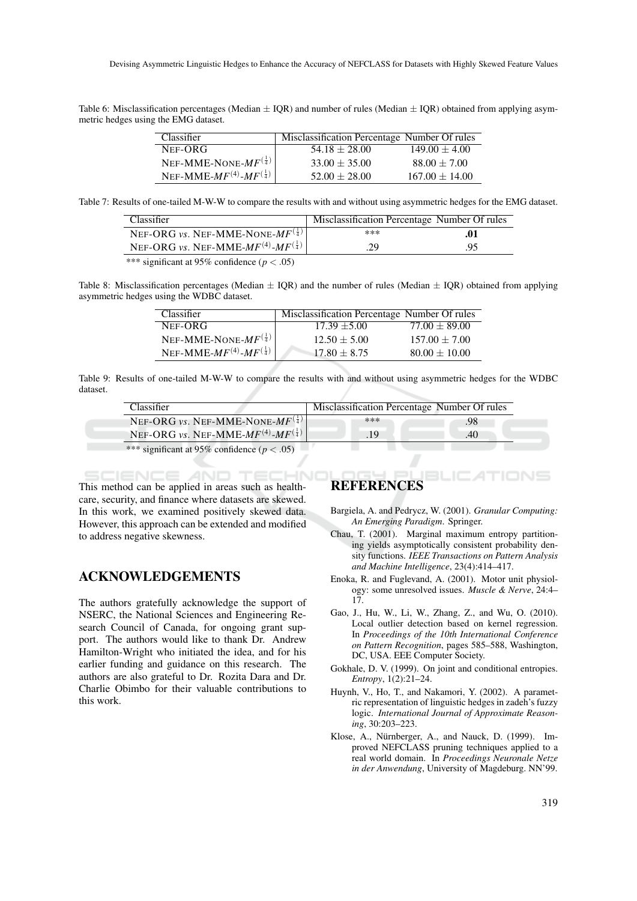Table 6: Misclassification percentages (Median  $\pm$  IQR) and number of rules (Median  $\pm$  IQR) obtained from applying asymmetric hedges using the EMG dataset.

| Classifier                           | Misclassification Percentage Number Of rules |                   |
|--------------------------------------|----------------------------------------------|-------------------|
| NEF-ORG                              | $54.18 \pm 28.00$                            | $149.00 \pm 4.00$ |
| NEF-MME-NONE- $MF^{(\frac{1}{4})}$   | $33.00 \pm 35.00$                            | $88.00 \pm 7.00$  |
| NEF-MME- $MF(4)$ - $MF(\frac{1}{4})$ | $52.00 + 28.00$                              | $167.00 + 14.00$  |

Table 7: Results of one-tailed M-W-W to compare the results with and without using asymmetric hedges for the EMG dataset.

| Classifier                                       | Misclassification Percentage Number Of rules |     |
|--------------------------------------------------|----------------------------------------------|-----|
| NEF-ORG vs. NEF-MME-NONE- $MF^{(\frac{1}{4})}$   | ***                                          | .01 |
| NEF-ORG vs. NEF-MME- $MF(4)$ - $MF(\frac{1}{4})$ | .29                                          | .95 |

\*\*\* significant at 95% confidence ( $p < .05$ )

Table 8: Misclassification percentages (Median  $\pm$  IQR) and the number of rules (Median  $\pm$  IQR) obtained from applying asymmetric hedges using the WDBC dataset.

| Classifier                           | Misclassification Percentage Number Of rules |                   |
|--------------------------------------|----------------------------------------------|-------------------|
| NEF-ORG                              | $17.39 + 5.00$                               | $77.00 \pm 89.00$ |
| NEF-MME-NONE- $MF^{(\frac{1}{4})}$   | $12.50 \pm 5.00$                             | $157.00 \pm 7.00$ |
| NEF-MME- $MF(4)$ - $MF(\frac{1}{4})$ | $17.80 + 8.75$                               | $80.00 \pm 10.00$ |

Table 9: Results of one-tailed M-W-W to compare the results with and without using asymmetric hedges for the WDBC dataset.

| Classifier                                                | Misclassification Percentage Number Of rules |     |
|-----------------------------------------------------------|----------------------------------------------|-----|
| NEF-ORG vs. NEF-MME-NONE- $MF^{\left(\frac{1}{4}\right)}$ | $* * *$                                      | .98 |
| NEF-ORG vs. NEF-MME- $MF(4)$ - $MF(\frac{1}{4})$          | .19                                          | .40 |
| *** significant at 95% confidence ( $p < .05$ )           |                                              |     |

SCIENCE AND TECHNI This method can be applied in areas such as healthcare, security, and finance where datasets are skewed. In this work, we examined positively skewed data. However, this approach can be extended and modified to address negative skewness.

## ACKNOWLEDGEMENTS

The authors gratefully acknowledge the support of NSERC, the National Sciences and Engineering Research Council of Canada, for ongoing grant support. The authors would like to thank Dr. Andrew Hamilton-Wright who initiated the idea, and for his earlier funding and guidance on this research. The authors are also grateful to Dr. Rozita Dara and Dr. Charlie Obimbo for their valuable contributions to this work.

## **REFERENCES**

- Bargiela, A. and Pedrycz, W. (2001). *Granular Computing: An Emerging Paradigm*. Springer.
- Chau, T. (2001). Marginal maximum entropy partitioning yields asymptotically consistent probability density functions. *IEEE Transactions on Pattern Analysis and Machine Intelligence*, 23(4):414–417.
- Enoka, R. and Fuglevand, A. (2001). Motor unit physiology: some unresolved issues. *Muscle & Nerve*, 24:4– 17.
- Gao, J., Hu, W., Li, W., Zhang, Z., and Wu, O. (2010). Local outlier detection based on kernel regression. In *Proceedings of the 10th International Conference on Pattern Recognition*, pages 585–588, Washington, DC, USA. EEE Computer Society.
- Gokhale, D. V. (1999). On joint and conditional entropies. *Entropy*, 1(2):21–24.
- Huynh, V., Ho, T., and Nakamori, Y. (2002). A parametric representation of linguistic hedges in zadeh's fuzzy logic. *International Journal of Approximate Reasoning*, 30:203–223.
- Klose, A., Nürnberger, A., and Nauck, D. (1999). Improved NEFCLASS pruning techniques applied to a real world domain. In *Proceedings Neuronale Netze in der Anwendung*, University of Magdeburg. NN'99.